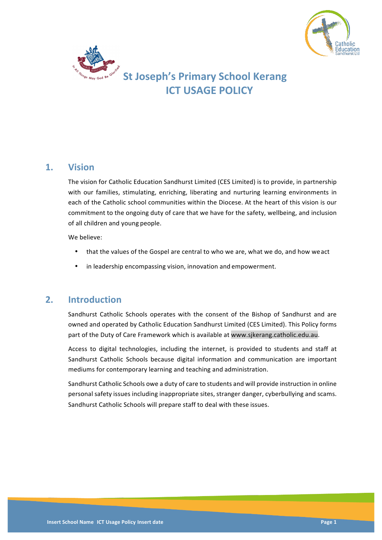



# **St Joseph's Primary School Kerang ICT USAGE POLICY**

## **1. Vision**

The vision for Catholic Education Sandhurst Limited (CES Limited) is to provide, in partnership with our families, stimulating, enriching, liberating and nurturing learning environments in each of the Catholic school communities within the Diocese. At the heart of this vision is our commitment to the ongoing duty of care that we have for the safety, wellbeing, and inclusion of all children and young people.

We believe:

- that the values of the Gospel are central to who we are, what we do, and how we act
- in leadership encompassing vision, innovation and empowerment.

# **2. Introduction**

Sandhurst Catholic Schools operates with the consent of the Bishop of Sandhurst and are owned and operated by Catholic Education Sandhurst Limited (CES Limited). This Policy forms part of the Duty of Care Framework which is available at www.sjkerang.catholic.edu.au.

Access to digital technologies, including the internet, is provided to students and staff at Sandhurst Catholic Schools because digital information and communication are important mediums for contemporary learning and teaching and administration.

Sandhurst Catholic Schools owe a duty of care to students and will provide instruction in online personal safety issues including inappropriate sites, stranger danger, cyberbullying and scams. Sandhurst Catholic Schools will prepare staff to deal with these issues.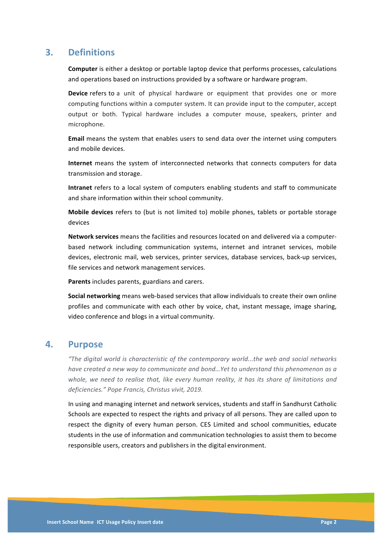### **3. Definitions**

**Computer** is either a desktop or portable laptop device that performs processes, calculations and operations based on instructions provided by a software or hardware program.

**Device** refers to a unit of physical hardware or equipment that provides one or more computing functions within a computer system. It can provide input to the computer, accept output or both. Typical hardware includes a computer mouse, speakers, printer and microphone.

**Email** means the system that enables users to send data over the internet using computers and mobile devices.

**Internet** means the system of interconnected networks that connects computers for data transmission and storage.

**Intranet** refers to a local system of computers enabling students and staff to communicate and share information within their school community.

**Mobile devices** refers to (but is not limited to) mobile phones, tablets or portable storage devices

**Network services** means the facilities and resources located on and delivered via a computerbased network including communication systems, internet and intranet services, mobile devices, electronic mail, web services, printer services, database services, back-up services, file services and network management services.

**Parents** includes parents, guardians and carers.

**Social networking** means web-based services that allow individuals to create their own online profiles and communicate with each other by voice, chat, instant message, image sharing, video conference and blogs in a virtual community.

### **4. Purpose**

*"The digital world is characteristic of the contemporary world...the web and social networks*  have created a new way to communicate and bond...Yet to understand this phenomenon as a *whole, we need to realise that, like every human reality, it has its share of limitations and deficiencies." Pope Francis, Christus vivit, 2019.*

In using and managing internet and network services, students and staff in Sandhurst Catholic Schools are expected to respect the rights and privacy of all persons. They are called upon to respect the dignity of every human person. CES Limited and school communities, educate students in the use of information and communication technologies to assist them to become responsible users, creators and publishers in the digital environment.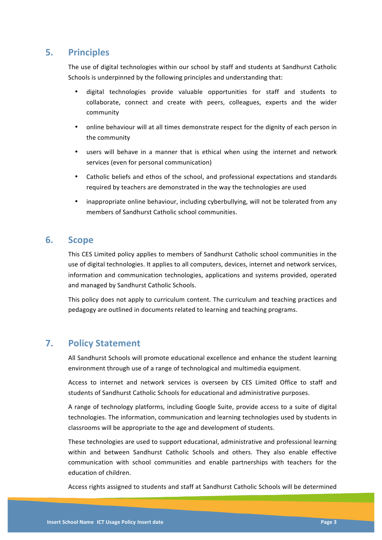## **5. Principles**

The use of digital technologies within our school by staff and students at Sandhurst Catholic Schools is underpinned by the following principles and understanding that:

- digital technologies provide valuable opportunities for staff and students to collaborate, connect and create with peers, colleagues, experts and the wider community
- online behaviour will at all times demonstrate respect for the dignity of each person in the community
- users will behave in a manner that is ethical when using the internet and network services (even for personal communication)
- Catholic beliefs and ethos of the school, and professional expectations and standards required by teachers are demonstrated in the way the technologies are used
- inappropriate online behaviour, including cyberbullying, will not be tolerated from any members of Sandhurst Catholic school communities.

### **6. Scope**

This CES Limited policy applies to members of Sandhurst Catholic school communities in the use of digital technologies. It applies to all computers, devices, internet and network services, information and communication technologies, applications and systems provided, operated and managed by Sandhurst Catholic Schools.

This policy does not apply to curriculum content. The curriculum and teaching practices and pedagogy are outlined in documents related to learning and teaching programs.

### **7. Policy Statement**

All Sandhurst Schools will promote educational excellence and enhance the student learning environment through use of a range of technological and multimedia equipment.

Access to internet and network services is overseen by CES Limited Office to staff and students of Sandhurst Catholic Schools for educational and administrative purposes.

A range of technology platforms, including Google Suite, provide access to a suite of digital technologies. The information, communication and learning technologies used by students in classrooms will be appropriate to the age and development of students.

These technologies are used to support educational, administrative and professional learning within and between Sandhurst Catholic Schools and others. They also enable effective communication with school communities and enable partnerships with teachers for the education of children.

Access rights assigned to students and staff at Sandhurst Catholic Schools will be determined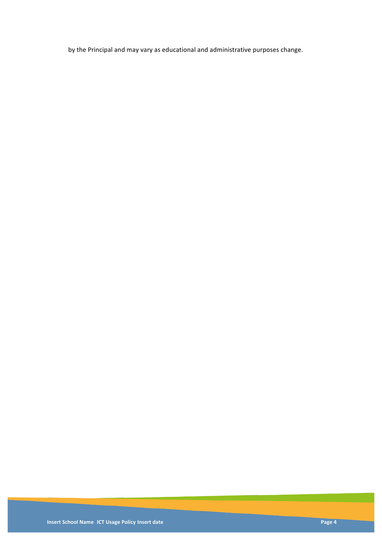by the Principal and may vary as educational and administrative purposes change.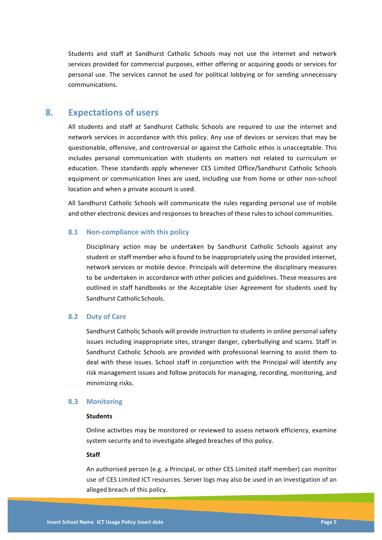Students and staff at Sandhurst Catholic Schools may not use the internet and network services provided for commercial purposes, either offering or acquiring goods or services for personal use. The services cannot be used for political lobbying or for sending unnecessary communications.

### **8. Expectations of users**

All students and staff at Sandhurst Catholic Schools are required to use the internet and network services in accordance with this policy. Any use of devices or services that may be questionable, offensive, and controversial or against the Catholic ethos is unacceptable. This includes personal communication with students on matters not related to curriculum or education. These standards apply whenever CES Limited Office/Sandhurst Catholic Schools equipment or communication lines are used, including use from home or other non-school location and when a private account is used.

All Sandhurst Catholic Schools will communicate the rules regarding personal use of mobile and other electronic devices and responses to breaches of these rules to school communities.

#### **8.1** Non-compliance with this policy

Disciplinary action may be undertaken by Sandhurst Catholic Schools against any student or staff member who is found to be inappropriately using the provided internet, network services or mobile device. Principals will determine the disciplinary measures to be undertaken in accordance with other policies and guidelines. These measures are outlined in staff handbooks or the Acceptable User Agreement for students used by Sandhurst Catholic Schools.

### **8.2 Duty of Care**

Sandhurst Catholic Schools will provide instruction to students in online personal safety issues including inappropriate sites, stranger danger, cyberbullying and scams. Staff in Sandhurst Catholic Schools are provided with professional learning to assist them to deal with these issues. School staff in conjunction with the Principal will identify any risk management issues and follow protocols for managing, recording, monitoring, and minimizing risks.

#### **8.3 Monitoring**

#### **Students**

Online activities may be monitored or reviewed to assess network efficiency, examine system security and to investigate alleged breaches of this policy.

#### **Staff**

An authorised person (e.g. a Principal, or other CES Limited staff member) can monitor use of CES Limited ICT resources. Server logs may also be used in an investigation of an alleged breach of this policy.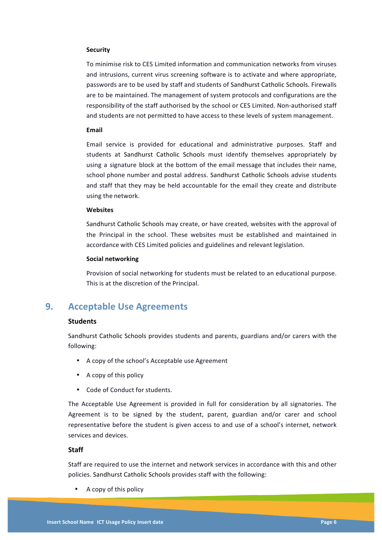#### **Security**

To minimise risk to CES Limited information and communication networks from viruses and intrusions, current virus screening software is to activate and where appropriate, passwords are to be used by staff and students of Sandhurst Catholic Schools. Firewalls are to be maintained. The management of system protocols and configurations are the responsibility of the staff authorised by the school or CES Limited. Non-authorised staff and students are not permitted to have access to these levels of system management.

#### **Email**

Email service is provided for educational and administrative purposes. Staff and students at Sandhurst Catholic Schools must identify themselves appropriately by using a signature block at the bottom of the email message that includes their name, school phone number and postal address. Sandhurst Catholic Schools advise students and staff that they may be held accountable for the email they create and distribute using the network.

#### **Websites**

Sandhurst Catholic Schools may create, or have created, websites with the approval of the Principal in the school. These websites must be established and maintained in accordance with CES Limited policies and guidelines and relevant legislation.

#### **Social networking**

Provision of social networking for students must be related to an educational purpose. This is at the discretion of the Principal.

### **9. Acceptable Use Agreements**

### **Students**

Sandhurst Catholic Schools provides students and parents, guardians and/or carers with the following:

- A copy of the school's Acceptable use Agreement
- A copy of this policy
- Code of Conduct for students.

The Acceptable Use Agreement is provided in full for consideration by all signatories. The Agreement is to be signed by the student, parent, guardian and/or carer and school representative before the student is given access to and use of a school's internet, network services and devices.

### **Staff**

Staff are required to use the internet and network services in accordance with this and other policies. Sandhurst Catholic Schools provides staff with the following:

A copy of this policy